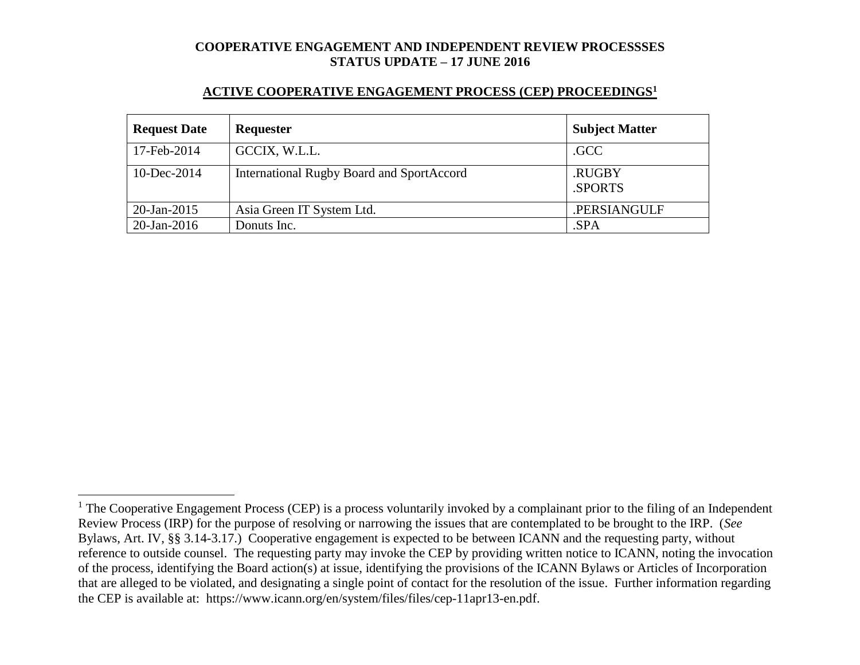#### **ACTIVE COOPERATIVE ENGAGEMENT PROCESS (CEP) PROCEEDINGS<sup>1</sup>**

| <b>Request Date</b> | Requester                                 | <b>Subject Matter</b> |
|---------------------|-------------------------------------------|-----------------------|
| 17-Feb-2014         | GCCIX, W.L.L.                             | .GCC                  |
| 10-Dec-2014         | International Rugby Board and SportAccord | .RUGBY<br>.SPORTS     |
| $20$ -Jan-2015      | Asia Green IT System Ltd.                 | .PERSIANGULF          |
| $20$ -Jan-2016      | Donuts Inc.                               | .SPA                  |

 $\overline{a}$ 

 $1$  The Cooperative Engagement Process (CEP) is a process voluntarily invoked by a complainant prior to the filing of an Independent Review Process (IRP) for the purpose of resolving or narrowing the issues that are contemplated to be brought to the IRP. (*See* Bylaws, Art. IV, §§ 3.14-3.17.) Cooperative engagement is expected to be between ICANN and the requesting party, without reference to outside counsel. The requesting party may invoke the CEP by providing written notice to ICANN, noting the invocation of the process, identifying the Board action(s) at issue, identifying the provisions of the ICANN Bylaws or Articles of Incorporation that are alleged to be violated, and designating a single point of contact for the resolution of the issue. Further information regarding the CEP is available at: https://www.icann.org/en/system/files/files/cep-11apr13-en.pdf.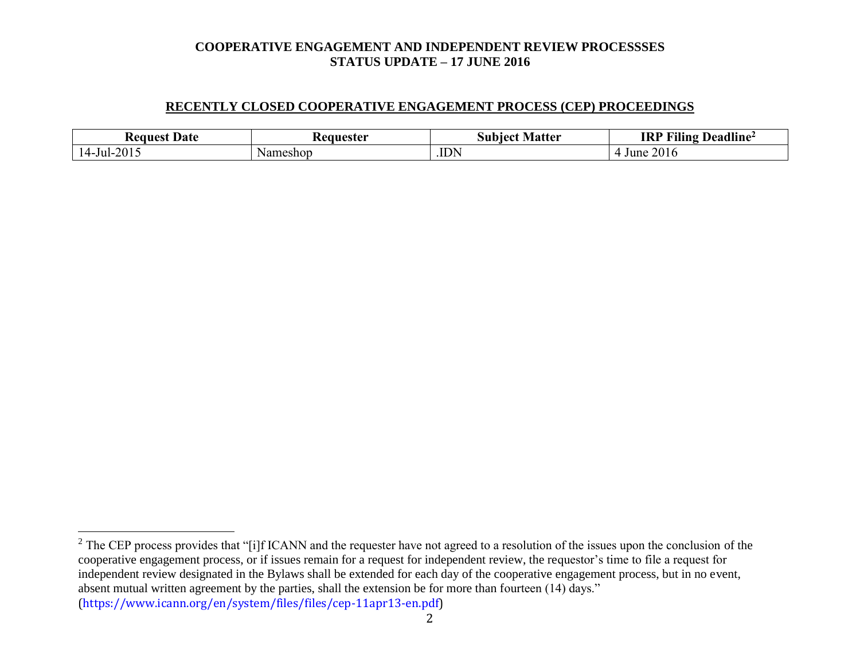#### **RECENTLY CLOSED COOPERATIVE ENGAGEMENT PROCESS (CEP) PROCEEDINGS**

| Date<br>Request       | teauester | <b>Matter</b><br>nect<br>Sub | $\cdots$<br><b>IRP</b><br>$T^{\bullet}$<br>Deadline <sup>2</sup><br>Tling |
|-----------------------|-----------|------------------------------|---------------------------------------------------------------------------|
| $-Jul-2015$<br>14 - F | Nameshop  | <b>IDN</b>                   | 2016<br>June                                                              |

 $\overline{a}$ 

2

 $2^2$  The CEP process provides that "[i]f ICANN and the requester have not agreed to a resolution of the issues upon the conclusion of the cooperative engagement process, or if issues remain for a request for independent review, the requestor's time to file a request for independent review designated in the Bylaws shall be extended for each day of the cooperative engagement process, but in no event, absent mutual written agreement by the parties, shall the extension be for more than fourteen (14) days." (https://www.icann.org/en/system/files/files/cep-11apr13-en.pdf)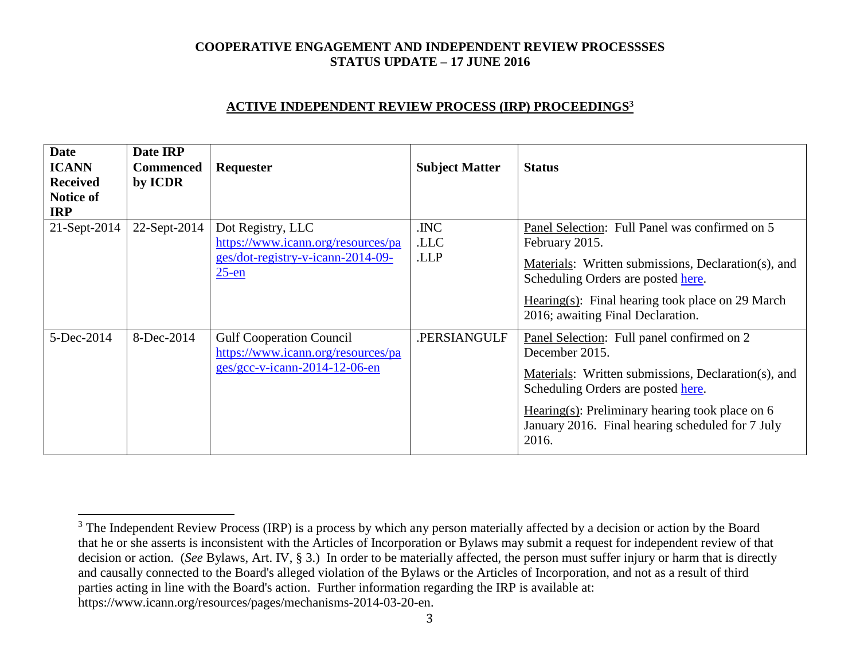### **ACTIVE INDEPENDENT REVIEW PROCESS (IRP) PROCEEDINGS<sup>3</sup>**

| <b>Date</b><br><b>ICANN</b><br><b>Received</b><br><b>Notice of</b><br><b>IRP</b> | Date IRP<br><b>Commenced</b><br>by ICDR | Requester                                                                                                | <b>Subject Matter</b> | <b>Status</b>                                                                                                                                                                                                                                                               |
|----------------------------------------------------------------------------------|-----------------------------------------|----------------------------------------------------------------------------------------------------------|-----------------------|-----------------------------------------------------------------------------------------------------------------------------------------------------------------------------------------------------------------------------------------------------------------------------|
| $21$ -Sept-2014                                                                  | 22-Sept-2014                            | Dot Registry, LLC<br>https://www.icann.org/resources/pa<br>ges/dot-registry-v-icann-2014-09-<br>$25$ -en | .INC<br>.LLC<br>.LLP  | Panel Selection: Full Panel was confirmed on 5<br>February 2015.<br>Materials: Written submissions, Declaration(s), and<br>Scheduling Orders are posted here.<br>Hearing(s): Final hearing took place on 29 March<br>2016; awaiting Final Declaration.                      |
| 5-Dec-2014                                                                       | 8-Dec-2014                              | <b>Gulf Cooperation Council</b><br>https://www.icann.org/resources/pa<br>$ges/gcc-v-icann-2014-12-06-en$ | .PERSIANGULF          | Panel Selection: Full panel confirmed on 2<br>December 2015.<br>Materials: Written submissions, Declaration(s), and<br>Scheduling Orders are posted here.<br>Hearing(s): Preliminary hearing took place on $6$<br>January 2016. Final hearing scheduled for 7 July<br>2016. |

 $\overline{a}$ 

<sup>&</sup>lt;sup>3</sup> The Independent Review Process (IRP) is a process by which any person materially affected by a decision or action by the Board that he or she asserts is inconsistent with the Articles of Incorporation or Bylaws may submit a request for independent review of that decision or action. (*See* Bylaws, Art. IV, § 3.) In order to be materially affected, the person must suffer injury or harm that is directly and causally connected to the Board's alleged violation of the Bylaws or the Articles of Incorporation, and not as a result of third parties acting in line with the Board's action. Further information regarding the IRP is available at: https://www.icann.org/resources/pages/mechanisms-2014-03-20-en.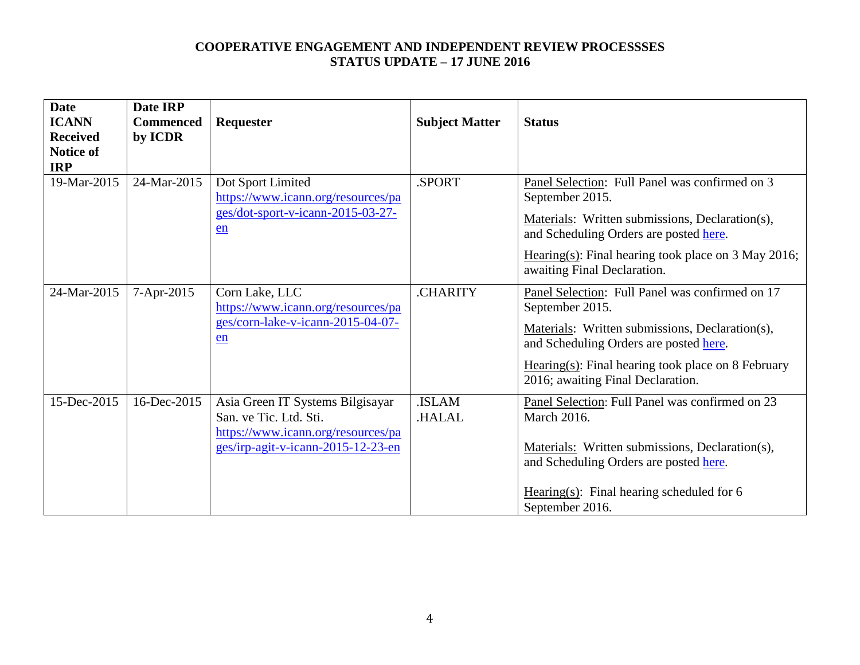| <b>Date</b><br><b>ICANN</b><br><b>Received</b><br>Notice of<br><b>IRP</b> | Date IRP<br><b>Commenced</b><br>by ICDR | Requester                                                                                                                              | <b>Subject Matter</b>  | <b>Status</b>                                                                                                                                                                                                                                                 |
|---------------------------------------------------------------------------|-----------------------------------------|----------------------------------------------------------------------------------------------------------------------------------------|------------------------|---------------------------------------------------------------------------------------------------------------------------------------------------------------------------------------------------------------------------------------------------------------|
| 19-Mar-2015                                                               | 24-Mar-2015                             | Dot Sport Limited<br>https://www.icann.org/resources/pa<br>ges/dot-sport-v-icann-2015-03-27-<br>en                                     | .SPORT                 | Panel Selection: Full Panel was confirmed on 3<br>September 2015.<br>Materials: Written submissions, Declaration(s),<br>and Scheduling Orders are posted here.<br>Hearing(s): Final hearing took place on $3$ May 2016;<br>awaiting Final Declaration.        |
| 24-Mar-2015                                                               | 7-Apr-2015                              | Corn Lake, LLC<br>https://www.icann.org/resources/pa<br>ges/corn-lake-v-icann-2015-04-07-<br>en                                        | .CHARITY               | Panel Selection: Full Panel was confirmed on 17<br>September 2015.<br>Materials: Written submissions, Declaration(s),<br>and Scheduling Orders are posted here.<br>$Hearing(s)$ : Final hearing took place on 8 February<br>2016; awaiting Final Declaration. |
| 15-Dec-2015                                                               | 16-Dec-2015                             | Asia Green IT Systems Bilgisayar<br>San. ve Tic. Ltd. Sti.<br>https://www.icann.org/resources/pa<br>ges/irp-agit-v-icann-2015-12-23-en | .ISLAM<br><b>HALAL</b> | Panel Selection: Full Panel was confirmed on 23<br><b>March 2016.</b><br>Materials: Written submissions, Declaration(s),<br>and Scheduling Orders are posted here.<br>Hearing(s): Final hearing scheduled for $6$<br>September 2016.                          |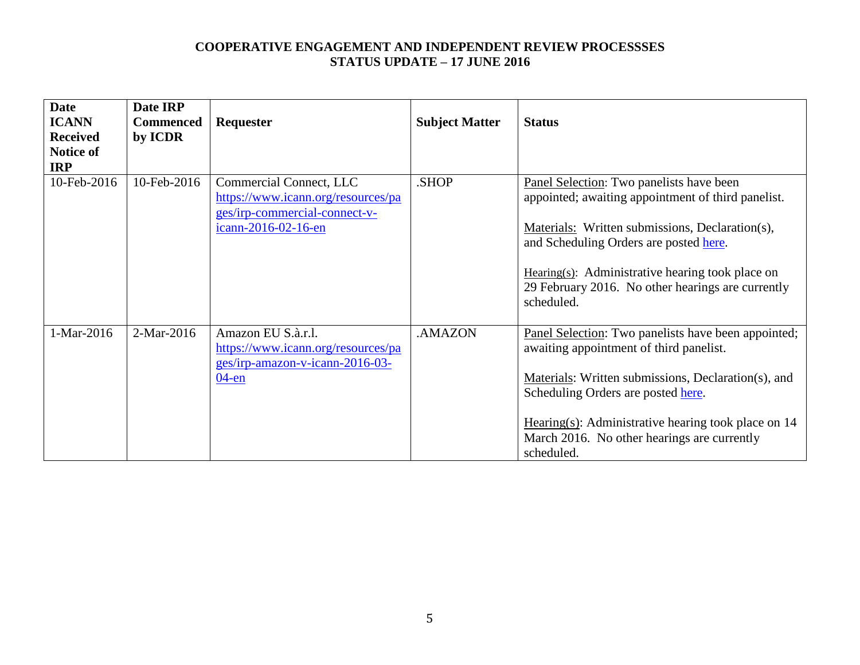| <b>Date</b>     | Date IRP         |                                    |                       |                                                       |
|-----------------|------------------|------------------------------------|-----------------------|-------------------------------------------------------|
| <b>ICANN</b>    | <b>Commenced</b> | <b>Requester</b>                   | <b>Subject Matter</b> | <b>Status</b>                                         |
| <b>Received</b> | by ICDR          |                                    |                       |                                                       |
| Notice of       |                  |                                    |                       |                                                       |
| <b>IRP</b>      |                  |                                    |                       |                                                       |
| 10-Feb-2016     | 10-Feb-2016      | Commercial Connect, LLC            | .SHOP                 | Panel Selection: Two panelists have been              |
|                 |                  | https://www.icann.org/resources/pa |                       | appointed; awaiting appointment of third panelist.    |
|                 |                  | ges/irp-commercial-connect-v-      |                       |                                                       |
|                 |                  | icann-2016-02-16-en                |                       | Materials: Written submissions, Declaration(s),       |
|                 |                  |                                    |                       | and Scheduling Orders are posted here.                |
|                 |                  |                                    |                       |                                                       |
|                 |                  |                                    |                       | Hearing(s): Administrative hearing took place on      |
|                 |                  |                                    |                       | 29 February 2016. No other hearings are currently     |
|                 |                  |                                    |                       | scheduled.                                            |
|                 |                  |                                    |                       |                                                       |
| 1-Mar-2016      | 2-Mar-2016       | Amazon EU S.à.r.l.                 | .AMAZON               | Panel Selection: Two panelists have been appointed;   |
|                 |                  | https://www.icann.org/resources/pa |                       | awaiting appointment of third panelist.               |
|                 |                  | ges/irp-amazon-v-icann-2016-03-    |                       |                                                       |
|                 |                  | $04$ -en                           |                       | Materials: Written submissions, Declaration(s), and   |
|                 |                  |                                    |                       | Scheduling Orders are posted here.                    |
|                 |                  |                                    |                       |                                                       |
|                 |                  |                                    |                       | Hearing(s): Administrative hearing took place on $14$ |
|                 |                  |                                    |                       | March 2016. No other hearings are currently           |
|                 |                  |                                    |                       | scheduled.                                            |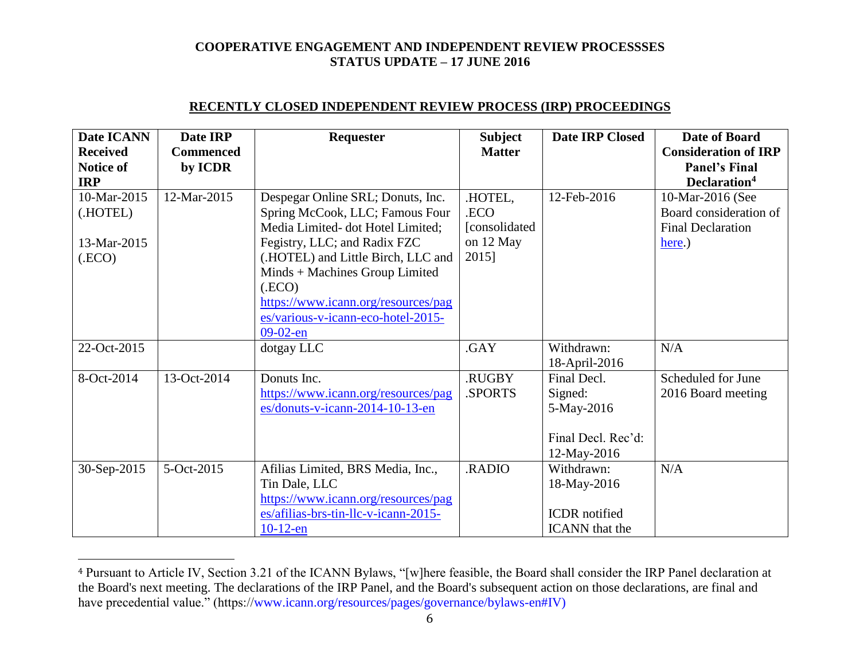| <b>Date ICANN</b><br><b>Received</b><br><b>Notice of</b><br><b>IRP</b> | Date IRP<br><b>Commenced</b><br>by ICDR | <b>Requester</b>                                                                                                                                                                                       | <b>Subject</b><br><b>Matter</b>   | <b>Date IRP Closed</b>                                                     | Date of Board<br><b>Consideration of IRP</b><br><b>Panel's Final</b><br>Declaration <sup>4</sup> |
|------------------------------------------------------------------------|-----------------------------------------|--------------------------------------------------------------------------------------------------------------------------------------------------------------------------------------------------------|-----------------------------------|----------------------------------------------------------------------------|--------------------------------------------------------------------------------------------------|
| 10-Mar-2015<br>(.HOTEL)                                                | 12-Mar-2015                             | Despegar Online SRL; Donuts, Inc.<br>Spring McCook, LLC; Famous Four<br>Media Limited- dot Hotel Limited;                                                                                              | .HOTEL,<br>.ECO<br>[consolidated] | 12-Feb-2016                                                                | 10-Mar-2016 (See<br>Board consideration of<br><b>Final Declaration</b>                           |
| 13-Mar-2015<br>(ECO)                                                   |                                         | Fegistry, LLC; and Radix FZC<br>(.HOTEL) and Little Birch, LLC and<br>Minds + Machines Group Limited<br>(ECO)<br>https://www.icann.org/resources/pag<br>es/various-v-icann-eco-hotel-2015-<br>09-02-en | on 12 May<br>2015]                |                                                                            | here.)                                                                                           |
| 22-Oct-2015                                                            |                                         | dotgay LLC                                                                                                                                                                                             | .GAY                              | Withdrawn:<br>18-April-2016                                                | N/A                                                                                              |
| 8-Oct-2014                                                             | 13-Oct-2014                             | Donuts Inc.<br>https://www.icann.org/resources/pag<br>es/donuts-v-icann-2014-10-13-en                                                                                                                  | .RUGBY<br>.SPORTS                 | Final Decl.<br>Signed:<br>5-May-2016<br>Final Decl. Rec'd:<br>12-May-2016  | Scheduled for June<br>2016 Board meeting                                                         |
| 30-Sep-2015                                                            | 5-Oct-2015                              | Afilias Limited, BRS Media, Inc.,<br>Tin Dale, LLC<br>https://www.icann.org/resources/pag<br>es/afilias-brs-tin-llc-v-icann-2015-<br>$10-12$ -en                                                       | .RADIO                            | Withdrawn:<br>18-May-2016<br><b>ICDR</b> notified<br><b>ICANN</b> that the | N/A                                                                                              |

## **RECENTLY CLOSED INDEPENDENT REVIEW PROCESS (IRP) PROCEEDINGS**

 $\overline{a}$ 

<sup>4</sup> Pursuant to Article IV, Section 3.21 of the ICANN Bylaws, "[w]here feasible, the Board shall consider the IRP Panel declaration at the Board's next meeting. The declarations of the IRP Panel, and the Board's subsequent action on those declarations, are final and have precedential value." (https://www.icann.org/resources/pages/governance/bylaws-en#IV)